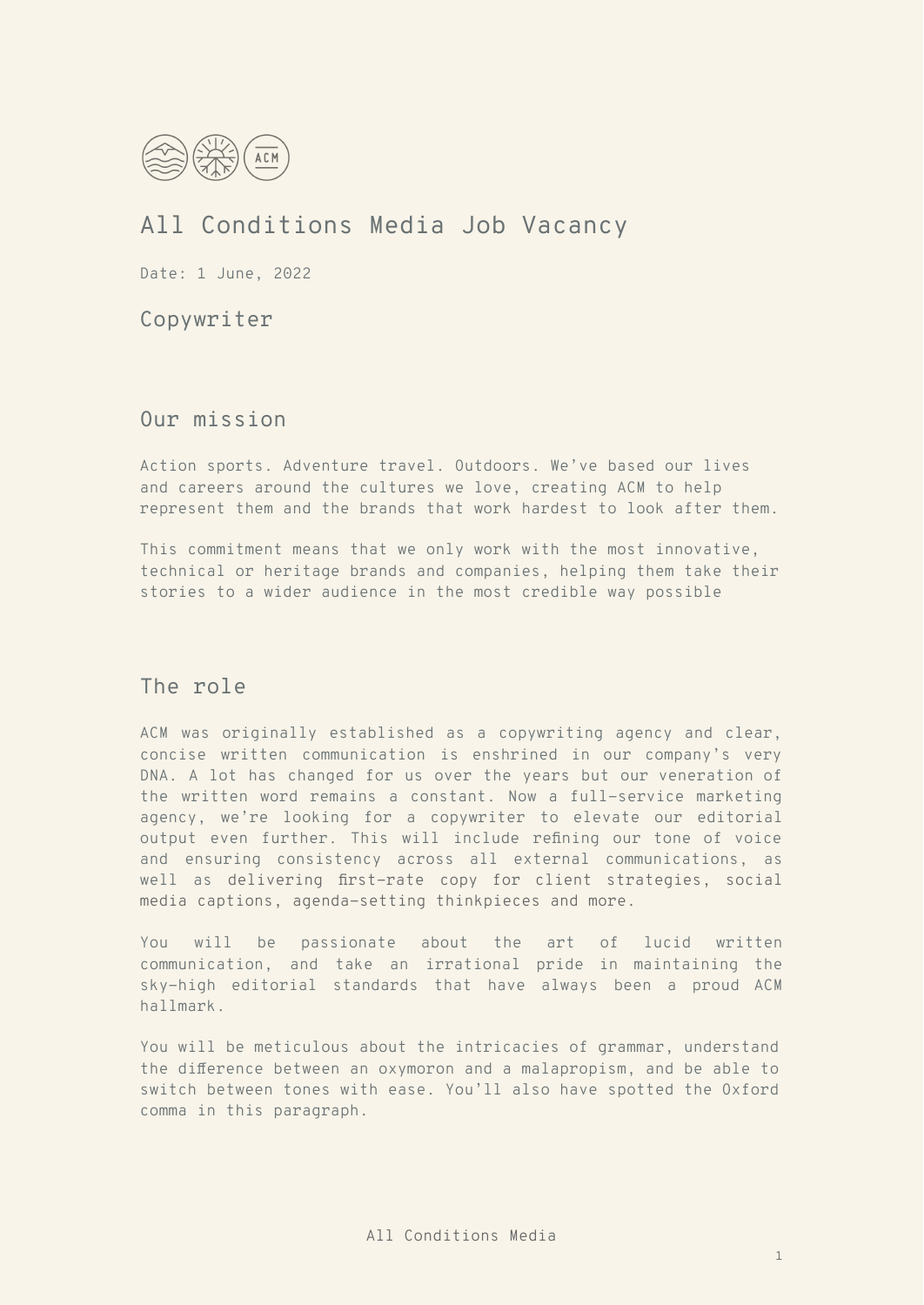

# All Conditions Media Job Vacancy

Date: 1 June, 2022

Copywriter

Our mission

Action sports. Adventure travel. Outdoors. We've based our lives and careers around the cultures we love, creating ACM to help represent them and the brands that work hardest to look after them.

This commitment means that we only work with the most innovative, technical or heritage brands and companies, helping them take their stories to a wider audience in the most credible way possible

## The role

ACM was originally established as a copywriting agency and clear, concise written communication is enshrined in our company's very DNA. A lot has changed for us over the years but our veneration of the written word remains a constant. Now a full-service marketing agency, we're looking for a copywriter to elevate our editorial output even further. This will include refining our tone of voice and ensuring consistency across all external communications, as well as delivering first-rate copy for client strategies, social media captions, agenda-setting thinkpieces and more.

You will be passionate about the art of lucid written communication, and take an irrational pride in maintaining the sky-high editorial standards that have always been a proud ACM hallmark.

You will be meticulous about the intricacies of grammar, understand the difference between an oxymoron and a malapropism, and be able to switch between tones with ease. You'll also have spotted the Oxford comma in this paragraph.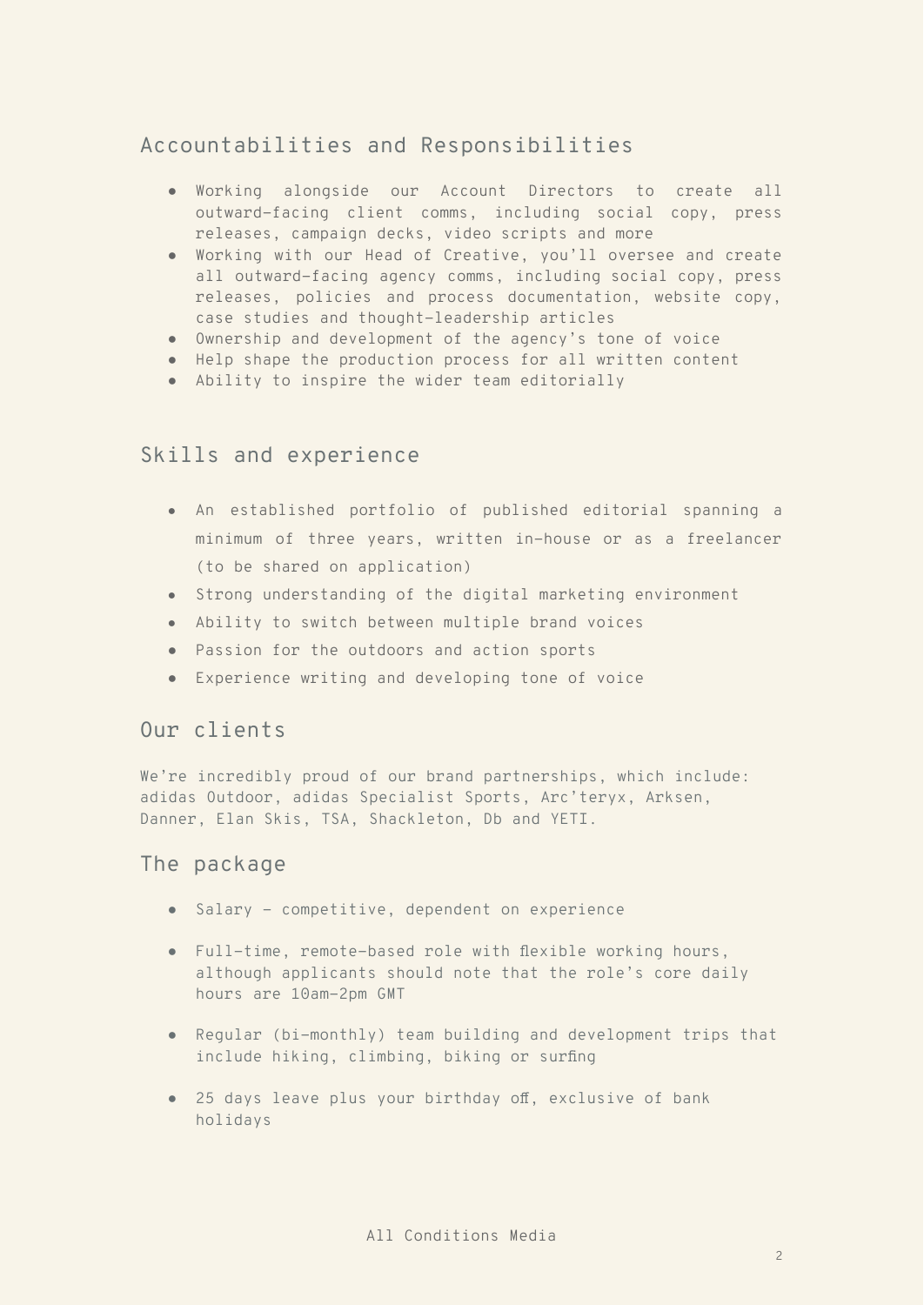# Accountabilities and Responsibilities

- Working alongside our Account Directors to create all outward-facing client comms, including social copy, press releases, campaign decks, video scripts and more
- Working with our Head of Creative, you'll oversee and create all outward-facing agency comms, including social copy, press releases, policies and process documentation, website copy, case studies and thought-leadership articles
- Ownership and development of the agency's tone of voice
- Help shape the production process for all written content
- Ability to inspire the wider team editorially

#### Skills and experience

- An established portfolio of published editorial spanning a minimum of three years, written in-house or as a freelancer (to be shared on application)
- Strong understanding of the digital marketing environment
- Ability to switch between multiple brand voices
- Passion for the outdoors and action sports
- Experience writing and developing tone of voice

# Our clients

We're incredibly proud of our brand partnerships, which include: adidas Outdoor, adidas Specialist Sports, Arc'teryx, Arksen, Danner, Elan Skis, TSA, Shackleton, Db and YETI.

#### The package

- Salary competitive, dependent on experience
- Full-time, remote-based role with flexible working hours, although applicants should note that the role's core daily hours are 10am-2pm GMT
- Regular (bi-monthly) team building and development trips that include hiking, climbing, biking or surfing
- 25 days leave plus your birthday off, exclusive of bank holidays